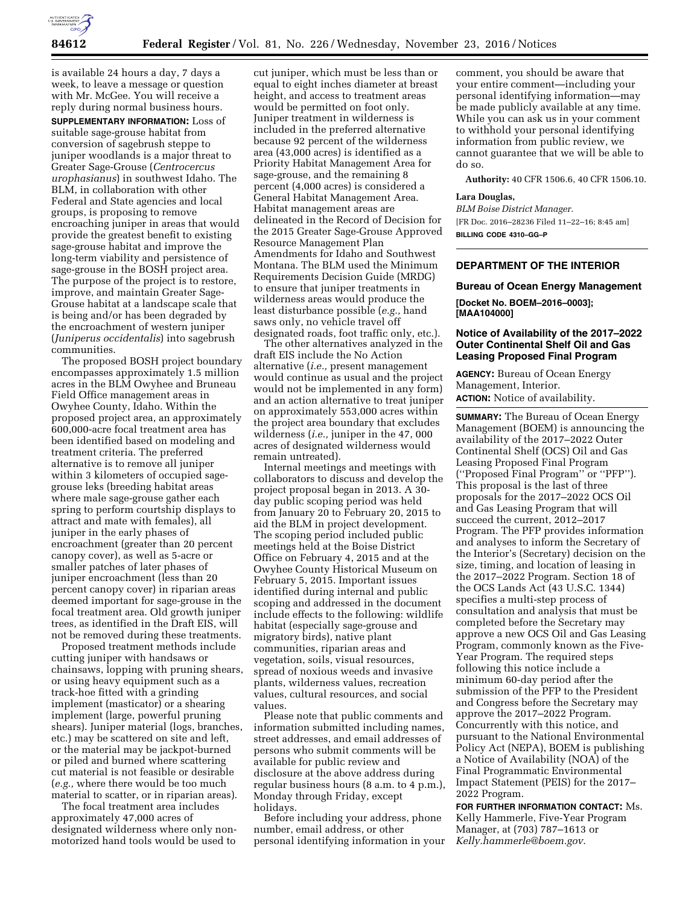

is available 24 hours a day, 7 days a week, to leave a message or question with Mr. McGee. You will receive a reply during normal business hours.

**SUPPLEMENTARY INFORMATION:** Loss of suitable sage-grouse habitat from conversion of sagebrush steppe to juniper woodlands is a major threat to Greater Sage-Grouse (*Centrocercus urophasianus*) in southwest Idaho. The BLM, in collaboration with other Federal and State agencies and local groups, is proposing to remove encroaching juniper in areas that would provide the greatest benefit to existing sage-grouse habitat and improve the long-term viability and persistence of sage-grouse in the BOSH project area. The purpose of the project is to restore, improve, and maintain Greater Sage-Grouse habitat at a landscape scale that is being and/or has been degraded by the encroachment of western juniper (*Juniperus occidentalis*) into sagebrush communities.

The proposed BOSH project boundary encompasses approximately 1.5 million acres in the BLM Owyhee and Bruneau Field Office management areas in Owyhee County, Idaho. Within the proposed project area, an approximately 600,000-acre focal treatment area has been identified based on modeling and treatment criteria. The preferred alternative is to remove all juniper within 3 kilometers of occupied sagegrouse leks (breeding habitat areas where male sage-grouse gather each spring to perform courtship displays to attract and mate with females), all juniper in the early phases of encroachment (greater than 20 percent canopy cover), as well as 5-acre or smaller patches of later phases of juniper encroachment (less than 20 percent canopy cover) in riparian areas deemed important for sage-grouse in the focal treatment area. Old growth juniper trees, as identified in the Draft EIS, will not be removed during these treatments.

Proposed treatment methods include cutting juniper with handsaws or chainsaws, lopping with pruning shears, or using heavy equipment such as a track-hoe fitted with a grinding implement (masticator) or a shearing implement (large, powerful pruning shears). Juniper material (logs, branches, etc.) may be scattered on site and left, or the material may be jackpot-burned or piled and burned where scattering cut material is not feasible or desirable (*e.g.,* where there would be too much material to scatter, or in riparian areas).

The focal treatment area includes approximately 47,000 acres of designated wilderness where only nonmotorized hand tools would be used to

cut juniper, which must be less than or equal to eight inches diameter at breast height, and access to treatment areas would be permitted on foot only. Juniper treatment in wilderness is included in the preferred alternative because 92 percent of the wilderness area (43,000 acres) is identified as a Priority Habitat Management Area for sage-grouse, and the remaining 8 percent (4,000 acres) is considered a General Habitat Management Area. Habitat management areas are delineated in the Record of Decision for the 2015 Greater Sage-Grouse Approved Resource Management Plan Amendments for Idaho and Southwest Montana. The BLM used the Minimum Requirements Decision Guide (MRDG) to ensure that juniper treatments in wilderness areas would produce the least disturbance possible (*e.g.,* hand saws only, no vehicle travel off designated roads, foot traffic only, etc.).

The other alternatives analyzed in the draft EIS include the No Action alternative (*i.e.,* present management would continue as usual and the project would not be implemented in any form) and an action alternative to treat juniper on approximately 553,000 acres within the project area boundary that excludes wilderness (*i.e.,* juniper in the 47, 000 acres of designated wilderness would remain untreated).

Internal meetings and meetings with collaborators to discuss and develop the project proposal began in 2013. A 30 day public scoping period was held from January 20 to February 20, 2015 to aid the BLM in project development. The scoping period included public meetings held at the Boise District Office on February 4, 2015 and at the Owyhee County Historical Museum on February 5, 2015. Important issues identified during internal and public scoping and addressed in the document include effects to the following: wildlife habitat (especially sage-grouse and migratory birds), native plant communities, riparian areas and vegetation, soils, visual resources, spread of noxious weeds and invasive plants, wilderness values, recreation values, cultural resources, and social values.

Please note that public comments and information submitted including names, street addresses, and email addresses of persons who submit comments will be available for public review and disclosure at the above address during regular business hours (8 a.m. to 4 p.m.), Monday through Friday, except holidays.

Before including your address, phone number, email address, or other personal identifying information in your comment, you should be aware that your entire comment—including your personal identifying information—may be made publicly available at any time. While you can ask us in your comment to withhold your personal identifying information from public review, we cannot guarantee that we will be able to do so.

**Authority:** 40 CFR 1506.6, 40 CFR 1506.10.

### **Lara Douglas,**

*BLM Boise District Manager.*  [FR Doc. 2016–28236 Filed 11–22–16; 8:45 am] **BILLING CODE 4310–GG–P** 

### **DEPARTMENT OF THE INTERIOR**

# **Bureau of Ocean Energy Management [Docket No. BOEM–2016–0003]; [MAA104000]**

### **Notice of Availability of the 2017–2022 Outer Continental Shelf Oil and Gas Leasing Proposed Final Program**

**AGENCY:** Bureau of Ocean Energy Management, Interior. **ACTION:** Notice of availability.

**SUMMARY:** The Bureau of Ocean Energy Management (BOEM) is announcing the availability of the 2017–2022 Outer Continental Shelf (OCS) Oil and Gas Leasing Proposed Final Program (''Proposed Final Program'' or ''PFP''). This proposal is the last of three proposals for the 2017–2022 OCS Oil and Gas Leasing Program that will succeed the current, 2012–2017 Program. The PFP provides information and analyses to inform the Secretary of the Interior's (Secretary) decision on the size, timing, and location of leasing in the 2017–2022 Program. Section 18 of the OCS Lands Act (43 U.S.C. 1344) specifies a multi-step process of consultation and analysis that must be completed before the Secretary may approve a new OCS Oil and Gas Leasing Program, commonly known as the Five-Year Program. The required steps following this notice include a minimum 60-day period after the submission of the PFP to the President and Congress before the Secretary may approve the 2017–2022 Program. Concurrently with this notice, and pursuant to the National Environmental Policy Act (NEPA), BOEM is publishing a Notice of Availability (NOA) of the Final Programmatic Environmental Impact Statement (PEIS) for the 2017– 2022 Program.

**FOR FURTHER INFORMATION CONTACT:** Ms. Kelly Hammerle, Five-Year Program Manager, at (703) 787–1613 or *[Kelly.hammerle@boem.gov.](mailto:Kelly.hammerle@boem.gov)*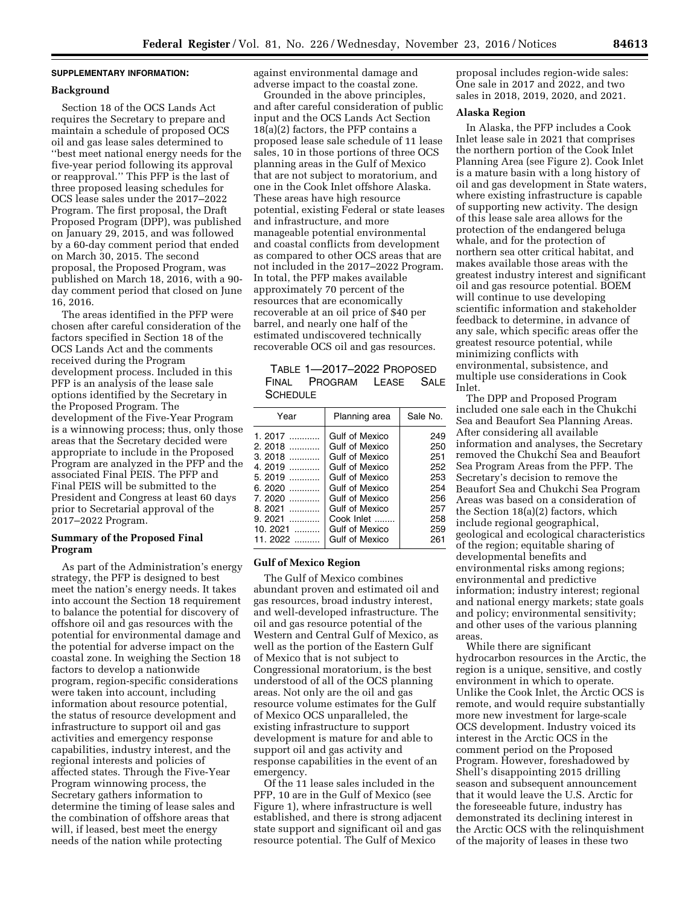## **SUPPLEMENTARY INFORMATION:**

#### **Background**

Section 18 of the OCS Lands Act requires the Secretary to prepare and maintain a schedule of proposed OCS oil and gas lease sales determined to ''best meet national energy needs for the five-year period following its approval or reapproval.'' This PFP is the last of three proposed leasing schedules for OCS lease sales under the 2017–2022 Program. The first proposal, the Draft Proposed Program (DPP), was published on January 29, 2015, and was followed by a 60-day comment period that ended on March 30, 2015. The second proposal, the Proposed Program, was published on March 18, 2016, with a 90 day comment period that closed on June 16, 2016.

The areas identified in the PFP were chosen after careful consideration of the factors specified in Section 18 of the OCS Lands Act and the comments received during the Program development process. Included in this PFP is an analysis of the lease sale options identified by the Secretary in the Proposed Program. The development of the Five-Year Program is a winnowing process; thus, only those areas that the Secretary decided were appropriate to include in the Proposed Program are analyzed in the PFP and the associated Final PEIS. The PFP and Final PEIS will be submitted to the President and Congress at least 60 days prior to Secretarial approval of the 2017–2022 Program.

### **Summary of the Proposed Final Program**

As part of the Administration's energy strategy, the PFP is designed to best meet the nation's energy needs. It takes into account the Section 18 requirement to balance the potential for discovery of offshore oil and gas resources with the potential for environmental damage and the potential for adverse impact on the coastal zone. In weighing the Section 18 factors to develop a nationwide program, region-specific considerations were taken into account, including information about resource potential, the status of resource development and infrastructure to support oil and gas activities and emergency response capabilities, industry interest, and the regional interests and policies of affected states. Through the Five-Year Program winnowing process, the Secretary gathers information to determine the timing of lease sales and the combination of offshore areas that will, if leased, best meet the energy needs of the nation while protecting

against environmental damage and adverse impact to the coastal zone.

Grounded in the above principles, and after careful consideration of public input and the OCS Lands Act Section 18(a)(2) factors, the PFP contains a proposed lease sale schedule of 11 lease sales, 10 in those portions of three OCS planning areas in the Gulf of Mexico that are not subject to moratorium, and one in the Cook Inlet offshore Alaska. These areas have high resource potential, existing Federal or state leases and infrastructure, and more manageable potential environmental and coastal conflicts from development as compared to other OCS areas that are not included in the 2017–2022 Program. In total, the PFP makes available approximately 70 percent of the resources that are economically recoverable at an oil price of \$40 per barrel, and nearly one half of the estimated undiscovered technically recoverable OCS oil and gas resources.

| TABLE 1-2017-2022 PROPOSED |                          |  |  |  |
|----------------------------|--------------------------|--|--|--|
|                            | FINAL PROGRAM LEASE SALE |  |  |  |
| SCHEDULE                   |                          |  |  |  |

| Year        | Planning area         | Sale No. |
|-------------|-----------------------|----------|
| $1.2017$    | Gulf of Mexico        | 249      |
| 2. 2018     | Gulf of Mexico        | 250      |
| 3. 2018     | Gulf of Mexico        | 251      |
| 4.2019 ………… | Gulf of Mexico        | 252      |
| 5. 2019     | Gulf of Mexico        | 253      |
| 6. 2020     | Gulf of Mexico        | 254      |
| 7.2020      | <b>Gulf of Mexico</b> | 256      |
| 8. 2021     | Gulf of Mexico        | 257      |
| 9. 2021     | Cook Inlet            | 258      |
| 10. 2021    | Gulf of Mexico        | 259      |
| 11. 2022    | Gulf of Mexico        | 261      |
|             |                       |          |

### **Gulf of Mexico Region**

The Gulf of Mexico combines abundant proven and estimated oil and gas resources, broad industry interest, and well-developed infrastructure. The oil and gas resource potential of the Western and Central Gulf of Mexico, as well as the portion of the Eastern Gulf of Mexico that is not subject to Congressional moratorium, is the best understood of all of the OCS planning areas. Not only are the oil and gas resource volume estimates for the Gulf of Mexico OCS unparalleled, the existing infrastructure to support development is mature for and able to support oil and gas activity and response capabilities in the event of an emergency.

Of the 11 lease sales included in the PFP, 10 are in the Gulf of Mexico (see Figure 1), where infrastructure is well established, and there is strong adjacent state support and significant oil and gas resource potential. The Gulf of Mexico

proposal includes region-wide sales: One sale in 2017 and 2022, and two sales in 2018, 2019, 2020, and 2021.

### **Alaska Region**

In Alaska, the PFP includes a Cook Inlet lease sale in 2021 that comprises the northern portion of the Cook Inlet Planning Area (see Figure 2). Cook Inlet is a mature basin with a long history of oil and gas development in State waters, where existing infrastructure is capable of supporting new activity. The design of this lease sale area allows for the protection of the endangered beluga whale, and for the protection of northern sea otter critical habitat, and makes available those areas with the greatest industry interest and significant oil and gas resource potential. BOEM will continue to use developing scientific information and stakeholder feedback to determine, in advance of any sale, which specific areas offer the greatest resource potential, while minimizing conflicts with environmental, subsistence, and multiple use considerations in Cook Inlet.

The DPP and Proposed Program included one sale each in the Chukchi Sea and Beaufort Sea Planning Areas. After considering all available information and analyses, the Secretary removed the Chukchi Sea and Beaufort Sea Program Areas from the PFP. The Secretary's decision to remove the Beaufort Sea and Chukchi Sea Program Areas was based on a consideration of the Section 18(a)(2) factors, which include regional geographical, geological and ecological characteristics of the region; equitable sharing of developmental benefits and environmental risks among regions; environmental and predictive information; industry interest; regional and national energy markets; state goals and policy; environmental sensitivity; and other uses of the various planning areas.

While there are significant hydrocarbon resources in the Arctic, the region is a unique, sensitive, and costly environment in which to operate. Unlike the Cook Inlet, the Arctic OCS is remote, and would require substantially more new investment for large-scale OCS development. Industry voiced its interest in the Arctic OCS in the comment period on the Proposed Program. However, foreshadowed by Shell's disappointing 2015 drilling season and subsequent announcement that it would leave the U.S. Arctic for the foreseeable future, industry has demonstrated its declining interest in the Arctic OCS with the relinquishment of the majority of leases in these two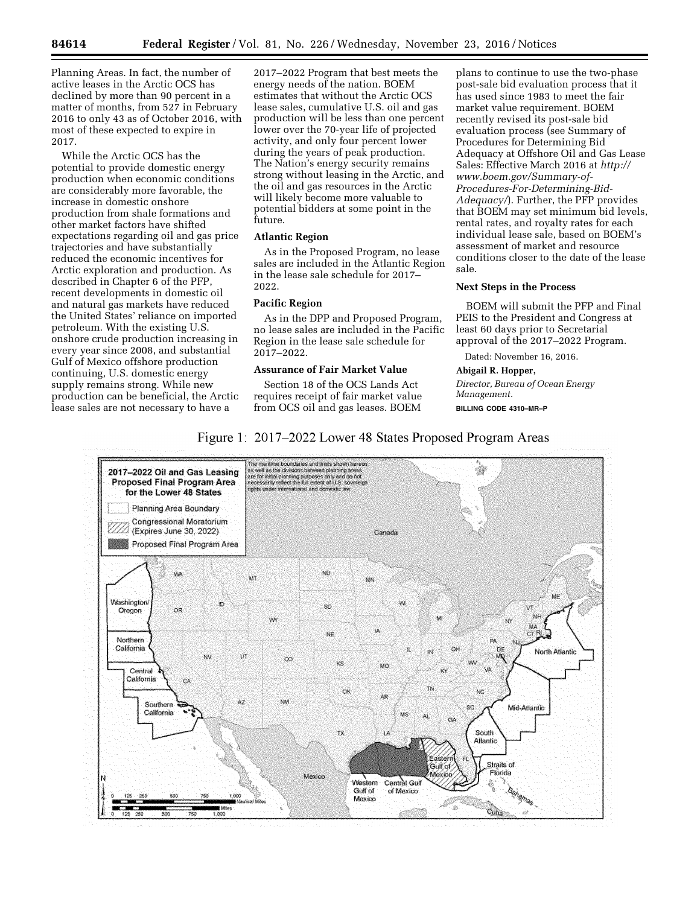Planning Areas. In fact, the number of active leases in the Arctic OCS has declined by more than 90 percent in a matter of months, from 527 in February 2016 to only 43 as of October 2016, with most of these expected to expire in 2017.

While the Arctic OCS has the potential to provide domestic energy production when economic conditions are considerably more favorable, the increase in domestic onshore production from shale formations and other market factors have shifted expectations regarding oil and gas price trajectories and have substantially reduced the economic incentives for Arctic exploration and production. As described in Chapter 6 of the PFP, recent developments in domestic oil and natural gas markets have reduced the United States' reliance on imported petroleum. With the existing U.S. onshore crude production increasing in every year since 2008, and substantial Gulf of Mexico offshore production continuing, U.S. domestic energy supply remains strong. While new production can be beneficial, the Arctic lease sales are not necessary to have a

2017–2022 Program that best meets the energy needs of the nation. BOEM estimates that without the Arctic OCS lease sales, cumulative U.S. oil and gas production will be less than one percent lower over the 70-year life of projected activity, and only four percent lower during the years of peak production. The Nation's energy security remains strong without leasing in the Arctic, and the oil and gas resources in the Arctic will likely become more valuable to potential bidders at some point in the future.

### **Atlantic Region**

As in the Proposed Program, no lease sales are included in the Atlantic Region in the lease sale schedule for 2017– 2022.

### **Pacific Region**

As in the DPP and Proposed Program, no lease sales are included in the Pacific Region in the lease sale schedule for 2017–2022.

## **Assurance of Fair Market Value**

Section 18 of the OCS Lands Act requires receipt of fair market value from OCS oil and gas leases. BOEM

plans to continue to use the two-phase post-sale bid evaluation process that it has used since 1983 to meet the fair market value requirement. BOEM recently revised its post-sale bid evaluation process (see Summary of Procedures for Determining Bid Adequacy at Offshore Oil and Gas Lease Sales: Effective March 2016 at *[http://](http://www.boem.gov/Summary-of-Procedures-For-Determining-Bid-Adequacy/) [www.boem.gov/Summary-of-](http://www.boem.gov/Summary-of-Procedures-For-Determining-Bid-Adequacy/)[Procedures-For-Determining-Bid-](http://www.boem.gov/Summary-of-Procedures-For-Determining-Bid-Adequacy/)[Adequacy/](http://www.boem.gov/Summary-of-Procedures-For-Determining-Bid-Adequacy/)*). Further, the PFP provides that BOEM may set minimum bid levels, rental rates, and royalty rates for each individual lease sale, based on BOEM's assessment of market and resource conditions closer to the date of the lease sale.

#### **Next Steps in the Process**

BOEM will submit the PFP and Final PEIS to the President and Congress at least 60 days prior to Secretarial approval of the 2017–2022 Program.

Dated: November 16, 2016.

**Abigail R. Hopper,** 

*Director, Bureau of Ocean Energy Management.*  **BILLING CODE 4310–MR–P** 

# Figure 1: 2017–2022 Lower 48 States Proposed Program Areas